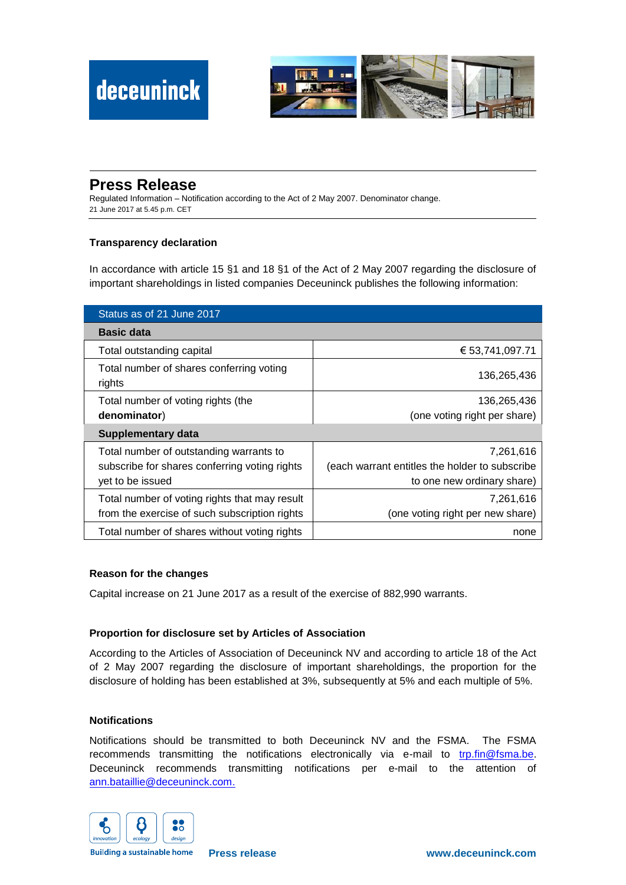

# **Press Release**

Regulated Information – Notification according to the Act of 2 May 2007. Denominator change. 21 June 2017 at 5.45 p.m. CET

## **Transparency declaration**

In accordance with article 15 §1 and 18 §1 of the Act of 2 May 2007 regarding the disclosure of important shareholdings in listed companies Deceuninck publishes the following information:

| Status as of 21 June 2017                          |                                                |
|----------------------------------------------------|------------------------------------------------|
| <b>Basic data</b>                                  |                                                |
| Total outstanding capital                          | € 53,741,097.71                                |
| Total number of shares conferring voting<br>rights | 136,265,436                                    |
| Total number of voting rights (the                 | 136,265,436                                    |
| denominator)                                       | (one voting right per share)                   |
| Supplementary data                                 |                                                |
| Total number of outstanding warrants to            | 7,261,616                                      |
| subscribe for shares conferring voting rights      | (each warrant entitles the holder to subscribe |
| yet to be issued                                   | to one new ordinary share)                     |
| Total number of voting rights that may result      | 7,261,616                                      |
| from the exercise of such subscription rights      | (one voting right per new share)               |
| Total number of shares without voting rights       | none                                           |

### **Reason for the changes**

Capital increase on 21 June 2017 as a result of the exercise of 882,990 warrants.

### **Proportion for disclosure set by Articles of Association**

According to the Articles of Association of Deceuninck NV and according to article 18 of the Act of 2 May 2007 regarding the disclosure of important shareholdings, the proportion for the disclosure of holding has been established at 3%, subsequently at 5% and each multiple of 5%.

#### **Notifications**

Notifications should be transmitted to both Deceuninck NV and the FSMA. The FSMA recommends transmitting the notifications electronically via e-mail to [trp.fin@fsma.be.](mailto:trp.fin@fsma.be) Deceuninck recommends transmitting notifications per e-mail to the attention of [ann.bataillie@deceuninck.com.](mailto:ann.bataillie@deceuninck.com)



**Building a sustainable home**